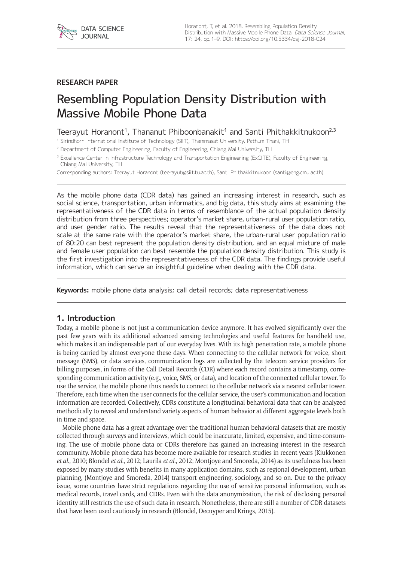

### **RESEARCH PAPER**

# Resembling Population Density Distribution with Massive Mobile Phone Data

# Teerayut Horanont<sup>1</sup>, Thananut Phiboonbanakit<sup>1</sup> and Santi Phithakkitnukoon<sup>2,3</sup>

<sup>1</sup> Sirindhorn International Institute of Technology (SIIT), Thammasat University, Pathum Thani, TH

<sup>2</sup> Department of Computer Engineering, Faculty of Engineering, Chiang Mai University, TH

<sup>3</sup> Excellence Center in Infrastructure Technology and Transportation Engineering (ExCITE), Faculty of Engineering, Chiang Mai University, TH

Corresponding authors: Teerayut Horanont ([teerayut@siit.tu.ac.th](mailto:teerayut@siit.tu.ac.th)), Santi Phithakkitnukoon ([santi@eng.cmu.ac.th](mailto:santi@eng.cmu.ac.th))

As the mobile phone data (CDR data) has gained an increasing interest in research, such as social science, transportation, urban informatics, and big data, this study aims at examining the representativeness of the CDR data in terms of resemblance of the actual population density distribution from three perspectives; operator's market share, urban-rural user population ratio, and user gender ratio. The results reveal that the representativeness of the data does not scale at the same rate with the operator's market share, the urban-rural user population ratio of 80:20 can best represent the population density distribution, and an equal mixture of male and female user population can best resemble the population density distribution. This study is the first investigation into the representativeness of the CDR data. The findings provide useful information, which can serve an insightful guideline when dealing with the CDR data.

**Keywords:** mobile phone data analysis; call detail records; data representativeness

#### **1. Introduction**

Today, a mobile phone is not just a communication device anymore. It has evolved significantly over the past few years with its additional advanced sensing technologies and useful features for handheld use, which makes it an indispensable part of our everyday lives. With its high penetration rate, a mobile phone is being carried by almost everyone these days. When connecting to the cellular network for voice, short message (SMS), or data services, communication logs are collected by the telecom service providers for billing purposes, in forms of the Call Detail Records (CDR) where each record contains a timestamp, corresponding communication activity (e.g., voice, SMS, or data), and location of the connected cellular tower. To use the service, the mobile phone thus needs to connect to the cellular network via a nearest cellular tower. Therefore, each time when the user connects for the cellular service, the user's communication and location information are recorded. Collectively, CDRs constitute a longitudinal behavioral data that can be analyzed methodically to reveal and understand variety aspects of human behavior at different aggregate levels both in time and space.

Mobile phone data has a great advantage over the traditional human behavioral datasets that are mostly collected through surveys and interviews, which could be inaccurate, limited, expensive, and time-consuming. The use of mobile phone data or CDRs therefore has gained an increasing interest in the research community. Mobile phone data has become more available for research studies in recent years (Kiukkonen *et al*., 2010; Blondel *et al*., 2012; Laurila *et al*., 2012; Montjoye and Smoreda, 2014) as its usefulness has been exposed by many studies with benefits in many application domains, such as regional development, urban planning, (Montjoye and Smoreda, 2014) transport engineering, sociology, and so on. Due to the privacy issue, some countries have strict regulations regarding the use of sensitive personal information, such as medical records, travel cards, and CDRs. Even with the data anonymization, the risk of disclosing personal identity still restricts the use of such data in research. Nonetheless, there are still a number of CDR datasets that have been used cautiously in research (Blondel, Decuyper and Krings, 2015).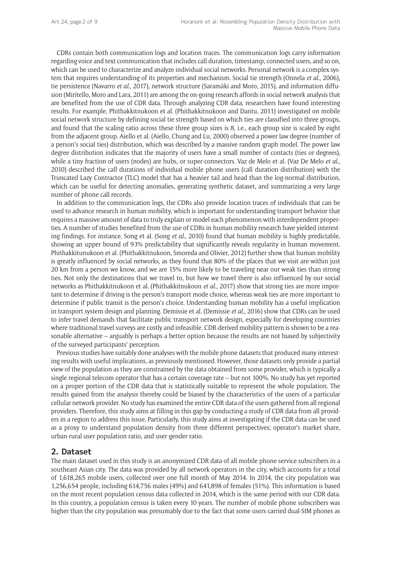CDRs contain both communication logs and location traces. The communication logs carry information regarding voice and text communication that includes call duration, timestamp, connected users, and so on, which can be used to characterize and analyze individual social networks. Personal network is a complex system that requires understanding of its properties and mechanism. Social tie strength (Onnela *et al*., 2006), tie persistence (Navarro *et al*., 2017), network structure (Saramäki and Moro, 2015), and information diffusion (Miritello, Moro and Lara, 2011) are among the on-going research affords in social network analysis that are benefited from the use of CDR data. Through analyzing CDR data, researchers have found interesting results. For example, Phithakkitnukoon et al. (Phithakkitnukoon and Dantu, 2011) investigated on mobile social network structure by defining social tie strength based on which ties are classified into three groups, and found that the scaling ratio across these three group sizes is 8, i.e., each group size is scaled by eight from the adjacent group. Aiello et al. (Aiello, Chung and Lu, 2000) observed a power law degree (number of a person's social ties) distribution, which was described by a massive random graph model. The power law degree distribution indicates that the majority of users have a small number of contacts (ties or degrees), while a tiny fraction of users (nodes) are hubs, or super-connectors. Vaz de Melo et al. (Vaz De Melo *et al*., 2010) described the call durations of individual mobile phone users (call duration distribution) with the Truncated Lazy Contractor (TLC) model that has a heavier tail and head than the log-normal distribution, which can be useful for detecting anomalies, generating synthetic dataset, and summarizing a very large number of phone call records.

In addition to the communication logs, the CDRs also provide location traces of individuals that can be used to advance research in human mobility, which is important for understanding transport behavior that requires a massive amount of data to truly explain or model each phenomenon with interdependent properties. A number of studies benefited from the use of CDRs in human mobility research have yielded interesting findings. For instance, Song et al. (Song *et al*., 2010) found that human mobility is highly predictable, showing an upper bound of 93% predictability that significantly reveals regularity in human movement. Phithakkitunukoon et al. (Phithakkitnukoon, Smoreda and Olivier, 2012) further show that human mobility is greatly influenced by social networks, as they found that 80% of the places that we visit are within just 20 km from a person we know, and we are 15% more likely to be traveling near our weak ties than strong ties. Not only the destinations that we travel to, but how we travel there is also influenced by our social networks as Phithakkitnukoon et al. (Phithakkitnukoon *et al*., 2017) show that strong ties are more important to determine if driving is the person's transport mode choice, whereas weak ties are more important to determine if public transit is the person's choice. Understanding human mobility has a useful implication in transport system design and planning. Demissie et al. (Demissie *et al*., 2016) show that CDRs can be used to infer travel demands that facilitate public transport network design, especially for developing countries where traditional travel surveys are costly and infeasible. CDR-derived mobility pattern is shown to be a reasonable alternative – arguably is perhaps a better option because the results are not biased by subjectivity of the surveyed participants' perception.

Previous studies have suitably done analyses with the mobile phone datasets that produced many interesting results with useful implications, as previously mentioned. However, those datasets only provide a partial view of the population as they are constrained by the data obtained from some provider, which is typically a single regional telecom operator that has a certain coverage rate – but not 100%. No study has yet reported on a proper portion of the CDR data that is statistically suitable to represent the whole population. The results gained from the analysis thereby could be biased by the characteristics of the users of a particular cellular network provider. No study has examined the entire CDR data of the users gathered from all regional providers. Therefore, this study aims at filling in this gap by conducting a study of CDR data from all providers in a region to address this issue. Particularly, this study aims at investigating if the CDR data can be used as a proxy to understand population density from three different perspectives; operator's market share, urban-rural user population ratio, and user gender ratio.

## **2. Dataset**

The main dataset used in this study is an anonymized CDR data of all mobile phone service subscribers in a southeast Asian city. The data was provided by all network operators in the city, which accounts for a total of 1,618,265 mobile users, collected over one full month of May 2014. In 2014, the city population was 1,256,654 people, including 614,756 males (49%) and 641,898 of females (51%). This information is based on the most recent population census data collected in 2014, which is the same period with our CDR data. In this country, a population census is taken every 10 years. The number of mobile phone subscribers was higher than the city population was presumably due to the fact that some users carried dual-SIM phones as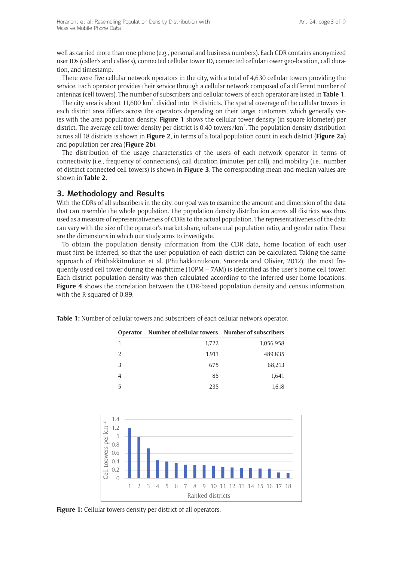well as carried more than one phone (e.g., personal and business numbers). Each CDR contains anonymized user IDs (caller's and callee's), connected cellular tower ID, connected cellular tower geo-location, call duration, and timestamp.

There were five cellular network operators in the city, with a total of 4,630 cellular towers providing the service. Each operator provides their service through a cellular network composed of a different number of antennas (cell towers). The number of subscribers and cellular towers of each operator are listed in **Table 1**.

The city area is about 11,600 km<sup>2</sup>, divided into 18 districts. The spatial coverage of the cellular towers in each district area differs across the operators depending on their target customers, which generally varies with the area population density. **Figure 1** shows the cellular tower density (in square kilometer) per district. The average cell tower density per district is 0.40 towers/km<sup>2</sup>. The population density distribution across all 18 districts is shown in **Figure 2**, in terms of a total population count in each district (**Figure 2a**) and population per area (**Figure 2b**).

The distribution of the usage characteristics of the users of each network operator in terms of connectivity (i.e., frequency of connections), call duration (minutes per call), and mobility (i.e., number of distinct connected cell towers) is shown in **Figure 3**. The corresponding mean and median values are shown in **Table 2**.

# **3. Methodology and Results**

With the CDRs of all subscribers in the city, our goal was to examine the amount and dimension of the data that can resemble the whole population. The population density distribution across all districts was thus used as a measure of representativeness of CDRs to the actual population. The representativeness of the data can vary with the size of the operator's market share, urban-rural population ratio, and gender ratio. These are the dimensions in which our study aims to investigate.

To obtain the population density information from the CDR data, home location of each user must first be inferred, so that the user population of each district can be calculated. Taking the same approach of Phithakkitnukoon et al. (Phithakkitnukoon, Smoreda and Olivier, 2012), the most frequently used cell tower during the nighttime (10PM – 7AM) is identified as the user's home cell tower. Each district population density was then calculated according to the inferred user home locations. **Figure 4** shows the correlation between the CDR-based population density and census information, with the R-squared of 0.89.

|   | Operator Number of cellular towers Number of subscribers |           |
|---|----------------------------------------------------------|-----------|
|   | 1,722                                                    | 1,056,958 |
| 2 | 1,913                                                    | 489,835   |
| 3 | 675                                                      | 68,213    |
|   | 85                                                       | 1,641     |
| 5 | 235                                                      | 1,618     |

**Table 1:** Number of cellular towers and subscribers of each cellular network operator.



**Figure 1:** Cellular towers density per district of all operators.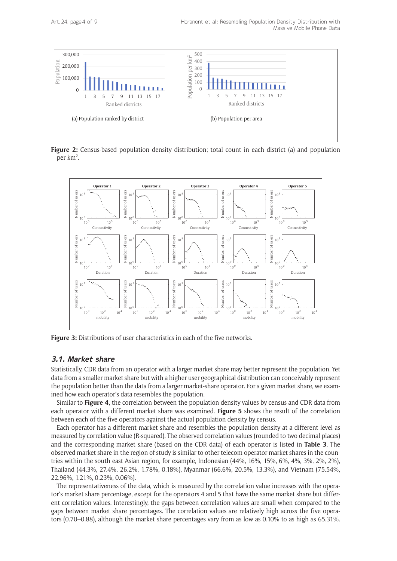

**Figure 2:** Census-based population density distribution; total count in each district (a) and population per km<sup>2</sup>.



#### **3.1. Market share**

Statistically, CDR data from an operator with a larger market share may better represent the population. Yet data from a smaller market share but with a higher user geographical distribution can conceivably represent the population better than the data from a larger market-share operator. For a given market share, we examined how each operator's data resembles the population.

Similar to **Figure 4**, the correlation between the population density values by census and CDR data from each operator with a different market share was examined. **Figure 5** shows the result of the correlation between each of the five operators against the actual population density by census.

Each operator has a different market share and resembles the population density at a different level as measured by correlation value (R-squared). The observed correlation values (rounded to two decimal places) and the corresponding market share (based on the CDR data) of each operator is listed in **Table 3**. The observed market share in the region of study is similar to other telecom operator market shares in the countries within the south east Asian region, for example, Indonesian (44%, 16%, 15%, 6%, 4%, 3%, 2%, 2%), Thailand (44.3%, 27.4%, 26.2%, 1.78%, 0.18%), Myanmar (66.6%, 20.5%, 13.3%), and Vietnam (75.54%, 22.96%, 1.21%, 0.23%, 0.06%).

The representativeness of the data, which is measured by the correlation value increases with the operator's market share percentage, except for the operators 4 and 5 that have the same market share but different correlation values. Interestingly, the gaps between correlation values are small when compared to the gaps between market share percentages. The correlation values are relatively high across the five operators (0.70–0.88), although the market share percentages vary from as low as 0.10% to as high as 65.31%.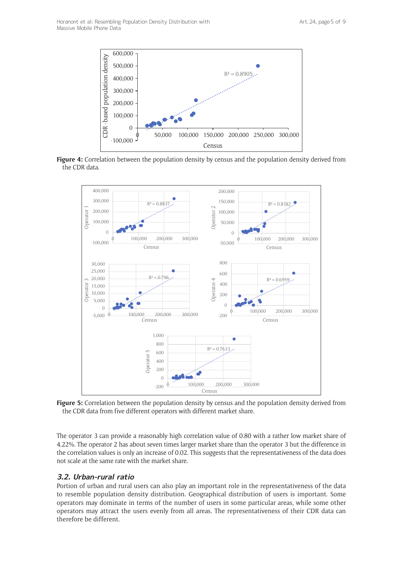

**Figure 4:** Correlation between the population density by census and the population density derived from the CDR data.



**Figure 5:** Correlation between the population density by census and the population density derived from the CDR data from five different operators with different market share.

The operator 3 can provide a reasonably high correlation value of 0.80 with a rather low market share of 4.22%. The operator 2 has about seven times larger market share than the operator 3 but the difference in the correlation values is only an increase of 0.02. This suggests that the representativeness of the data does not scale at the same rate with the market share.

## **3.2. Urban-rural ratio**

Portion of urban and rural users can also play an important role in the representativeness of the data to resemble population density distribution. Geographical distribution of users is important. Some operators may dominate in terms of the number of users in some particular areas, while some other operators may attract the users evenly from all areas. The representativeness of their CDR data can therefore be different.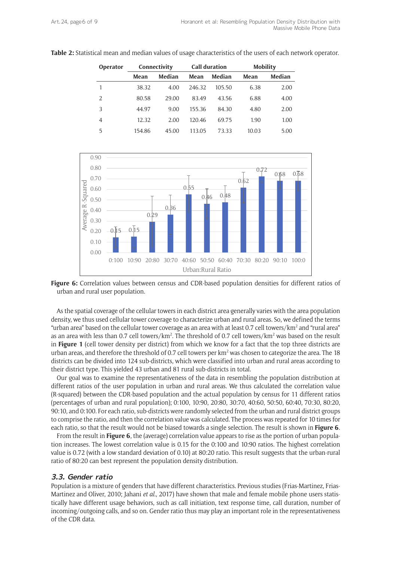| <b>Operator</b> |        | Connectivity |        | <b>Call duration</b> |       | <b>Mobility</b> |  |
|-----------------|--------|--------------|--------|----------------------|-------|-----------------|--|
|                 | Mean   | Median       | Mean   | Median               | Mean  | Median          |  |
|                 | 38.32  | 4.00         | 246.32 | 105.50               | 6.38  | 2.00            |  |
| 2               | 80.58  | 29.00        | 83.49  | 43.56                | 6.88  | 4.00            |  |
| 3               | 44.97  | 9.00         | 155.36 | 84.30                | 4.80  | 2.00            |  |
| 4               | 12.32  | 2.00         | 120.46 | 69.75                | 1.90  | 1.00            |  |
| 5               | 154.86 | 45.00        | 113.05 | 73.33                | 10.03 | 5.00            |  |

**Table 2:** Statistical mean and median values of usage characteristics of the users of each network operator.



**Figure 6:** Correlation values between census and CDR-based population densities for different ratios of urban and rural user population.

As the spatial coverage of the cellular towers in each district area generally varies with the area population density, we thus used cellular tower coverage to characterize urban and rural areas. So, we defined the terms "urban area" based on the cellular tower coverage as an area with at least 0.7 cell towers/km<sup>2</sup> and "rural area" as an area with less than 0.7 cell towers/km<sup>2</sup>. The threshold of 0.7 cell towers/km<sup>2</sup> was based on the result in **Figure 1** (cell tower density per district) from which we know for a fact that the top three districts are urban areas, and therefore the threshold of 0.7 cell towers per  $km<sup>2</sup>$  was chosen to categorize the area. The 18 districts can be divided into 124 sub-districts, which were classified into urban and rural areas according to their district type. This yielded 43 urban and 81 rural sub-districts in total.

Our goal was to examine the representativeness of the data in resembling the population distribution at different ratios of the user population in urban and rural areas. We thus calculated the correlation value (R-squared) between the CDR-based population and the actual population by census for 11 different ratios (percentages of urban and rural population); 0:100, 10:90, 20:80, 30:70, 40:60, 50:50, 60:40, 70:30, 80:20, 90:10, and 0:100. For each ratio, sub-districts were randomly selected from the urban and rural district groups to comprise the ratio, and then the correlation value was calculated. The process was repeated for 10 times for each ratio, so that the result would not be biased towards a single selection. The result is shown in **Figure 6**.

From the result in **Figure 6**, the (average) correlation value appears to rise as the portion of urban population increases. The lowest correlation value is 0.15 for the 0:100 and 10:90 ratios. The highest correlation value is 0.72 (with a low standard deviation of 0.10) at 80:20 ratio. This result suggests that the urban-rural ratio of 80:20 can best represent the population density distribution.

#### **3.3. Gender ratio**

Population is a mixture of genders that have different characteristics. Previous studies (Frias-Martinez, Frias-Martinez and Oliver, 2010; Jahani *et al*., 2017) have shown that male and female mobile phone users statistically have different usage behaviors, such as call initiation, text response time, call duration, number of incoming/outgoing calls, and so on. Gender ratio thus may play an important role in the representativeness of the CDR data.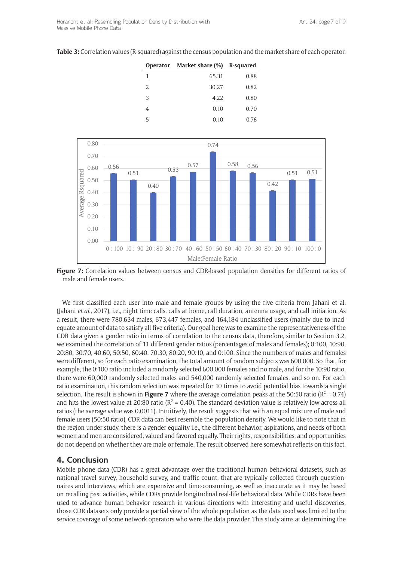|  |  | <b>Table 3:</b> Correlation values (R-squared) against the census population and the market share of each operator. |  |
|--|--|---------------------------------------------------------------------------------------------------------------------|--|
|--|--|---------------------------------------------------------------------------------------------------------------------|--|

|   | Operator Market share (%) R-squared |      |  |
|---|-------------------------------------|------|--|
| 1 | 65.31                               | 0.88 |  |
| 2 | 30.27                               | 0.82 |  |
| 3 | 4.22                                | 0.80 |  |
| 4 | 0.10                                | 0.70 |  |
| 5 | 0.10                                | 0.76 |  |



**Figure 7:** Correlation values between census and CDR-based population densities for different ratios of male and female users.

We first classified each user into male and female groups by using the five criteria from Jahani et al. (Jahani *et al*., 2017), i.e., night time calls, calls at home, call duration, antenna usage, and call initiation. As a result, there were 780,634 males, 673,447 females, and 164,184 unclassified users (mainly due to inadequate amount of data to satisfy all five criteria). Our goal here was to examine the representativeness of the CDR data given a gender ratio in terms of correlation to the census data, therefore, similar to Section 3.2, we examined the correlation of 11 different gender ratios (percentages of males and females); 0:100, 10:90, 20:80, 30:70, 40:60, 50:50, 60:40, 70:30, 80:20, 90:10, and 0:100. Since the numbers of males and females were different, so for each ratio examination, the total amount of random subjects was 600,000. So that, for example, the 0:100 ratio included a randomly selected 600,000 females and no male, and for the 10:90 ratio, there were 60,000 randomly selected males and 540,000 randomly selected females, and so on. For each ratio examination, this random selection was repeated for 10 times to avoid potential bias towards a single selection. The result is shown in **Figure 7** where the average correlation peaks at the 50:50 ratio ( $R^2 = 0.74$ ) and hits the lowest value at 20:80 ratio ( $R^2 = 0.40$ ). The standard deviation value is relatively low across all ratios (the average value was 0.0011). Intuitively, the result suggests that with an equal mixture of male and female users (50:50 ratio), CDR data can best resemble the population density. We would like to note that in the region under study, there is a gender equality i.e., the different behavior, aspirations, and needs of both women and men are considered, valued and favored equally. Their rights, responsibilities, and opportunities do not depend on whether they are male or female. The result observed here somewhat reflects on this fact.

#### **4. Conclusion**

Mobile phone data (CDR) has a great advantage over the traditional human behavioral datasets, such as national travel survey, household survey, and traffic count, that are typically collected through questionnaires and interviews, which are expensive and time-consuming, as well as inaccurate as it may be based on recalling past activities, while CDRs provide longitudinal real-life behavioral data. While CDRs have been used to advance human behavior research in various directions with interesting and useful discoveries, those CDR datasets only provide a partial view of the whole population as the data used was limited to the service coverage of some network operators who were the data provider. This study aims at determining the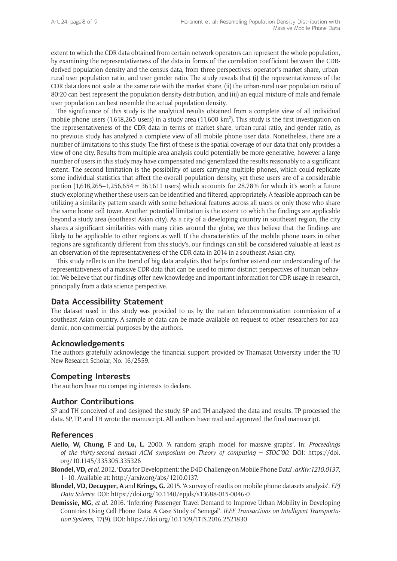extent to which the CDR data obtained from certain network operators can represent the whole population, by examining the representativeness of the data in forms of the correlation coefficient between the CDRderived population density and the census data, from three perspectives; operator's market share, urbanrural user population ratio, and user gender ratio. The study reveals that (i) the representativeness of the CDR data does not scale at the same rate with the market share, (ii) the urban-rural user population ratio of 80:20 can best represent the population density distribution, and (iii) an equal mixture of male and female user population can best resemble the actual population density.

The significance of this study is the analytical results obtained from a complete view of all individual mobile phone users (1,618,265 users) in a study area (11,600 km<sup>2</sup>). This study is the first investigation on the representativeness of the CDR data in terms of market share, urban-rural ratio, and gender ratio, as no previous study has analyzed a complete view of all mobile phone user data. Nonetheless, there are a number of limitations to this study. The first of these is the spatial coverage of our data that only provides a view of one city. Results from multiple area analysis could potentially be more generative, however a large number of users in this study may have compensated and generalized the results reasonably to a significant extent. The second limitation is the possibility of users carrying multiple phones, which could replicate some individual statistics that affect the overall population density, yet these users are of a considerable portion (1,618,265–1,256,654 = 361,611 users) which accounts for 28.78% for which it's worth a future study exploring whether these users can be identified and filtered, appropriately. A feasible approach can be utilizing a similarity pattern search with some behavioral features across all users or only those who share the same home cell tower. Another potential limitation is the extent to which the findings are applicable beyond a study area (southeast Asian city). As a city of a developing country in southeast region, the city shares a significant similarities with many cities around the globe, we thus believe that the findings are likely to be applicable to other regions as well. If the characteristics of the mobile phone users in other regions are significantly different from this study's, our findings can still be considered valuable at least as an observation of the representativeness of the CDR data in 2014 in a southeast Asian city.

This study reflects on the trend of big data analytics that helps further extend our understanding of the representativeness of a massive CDR data that can be used to mirror distinct perspectives of human behavior. We believe that our findings offer new knowledge and important information for CDR usage in research, principally from a data science perspective.

#### **Data Accessibility Statement**

The dataset used in this study was provided to us by the nation telecommunication commission of a southeast Asian country. A sample of data can be made available on request to other researchers for academic, non-commercial purposes by the authors.

#### **Acknowledgements**

The authors gratefully acknowledge the financial support provided by Thamasat University under the TU New Research Scholar, No. 16/2559.

#### **Competing Interests**

The authors have no competing interests to declare.

## **Author Contributions**

SP and TH conceived of and designed the study. SP and TH analyzed the data and results. TP processed the data. SP, TP, and TH wrote the manuscript. All authors have read and approved the final manuscript.

#### **References**

- **Aiello, W, Chung, F** and **Lu, L.** 2000. 'A random graph model for massive graphs'. In: *Proceedings of the thirty-second annual ACM symposium on Theory of computing – STOC'00*. DOI: [https://doi.](https://doi.org/10.1145/335305.335326) [org/10.1145/335305.335326](https://doi.org/10.1145/335305.335326)
- **Blondel, VD,** *et al*. 2012. 'Data for Development: the D4D Challenge on Mobile Phone Data'. *arXiv:1210*.*0137*, 1–10. Available at: <http://arxiv.org/abs/1210.0137>.
- **Blondel, VD, Decuyper, A** and **Krings, G.** 2015. 'A survey of results on mobile phone datasets analysis'. *EPJ Data Science*. DOI:<https://doi.org/10.1140/epjds/s13688-015-0046-0>
- **Demissie, MG,** *et al*. 2016. 'Inferring Passenger Travel Demand to Improve Urban Mobility in Developing Countries Using Cell Phone Data: A Case Study of Senegal'. *IEEE Transactions on Intelligent Transportation Systems*, 17(9). DOI:<https://doi.org/10.1109/TITS.2016.2521830>